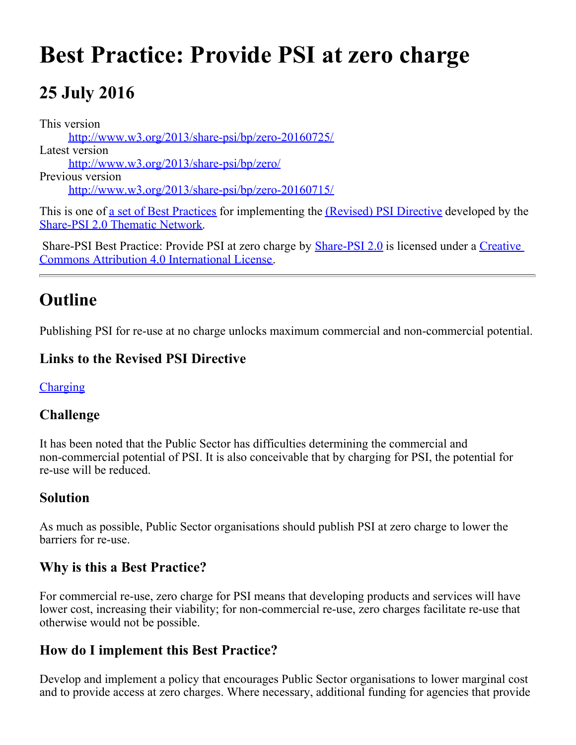# **Best Practice: Provide PSI at zero charge**

# **25 July 2016**

This version [http://www.w3.org/2013/share-psi/bp/zero-20160725/](https://www.w3.org/2013/share-psi/bp/zero-20160725/) Latest version [http://www.w3.org/2013/share-psi/bp/zero/](https://www.w3.org/2013/share-psi/bp/zero/) Previous version [http://www.w3.org/2013/share-psi/bp/zero-20160715/](https://www.w3.org/2013/share-psi/bp/zero-20160715/)

This is one of <u>a set of Best Practices</u> for implementing the *(Revised)* PSI Directive developed by the [Share-PSI 2.0 Thematic Network](http://www.w3.org/2013/share-psi/).

Share-PSI Best Practice: Provide PSI at zero charge by **[Share-PSI 2.0](http://www.w3.org/2013/share-psi/)** is licensed under a [Creative](http://creativecommons.org/licenses/by/4.0/) [Commons Attribution 4.0 International License](http://creativecommons.org/licenses/by/4.0/).

### **Outline**

Publishing PSI for re-use at no charge unlocks maximum commercial and non-commercial potential.

#### **Links to the Revised PSI Directive**

**[Charging](https://www.w3.org/2013/share-psi/bp/charging/)** 

#### **Challenge**

It has been noted that the Public Sector has difficulties determining the commercial and non-commercial potential of PSI. It is also conceivable that by charging for PSI, the potential for re-use will be reduced.

#### **Solution**

As much as possible, Public Sector organisations should publish PSI at zero charge to lower the barriers for re-use.

#### **Why is this a Best Practice?**

For commercial re-use, zero charge for PSI means that developing products and services will have lower cost, increasing their viability; for non-commercial re-use, zero charges facilitate re-use that otherwise would not be possible.

#### **How do I implement this Best Practice?**

Develop and implement a policy that encourages Public Sector organisations to lower marginal cost and to provide access at zero charges. Where necessary, additional funding for agencies that provide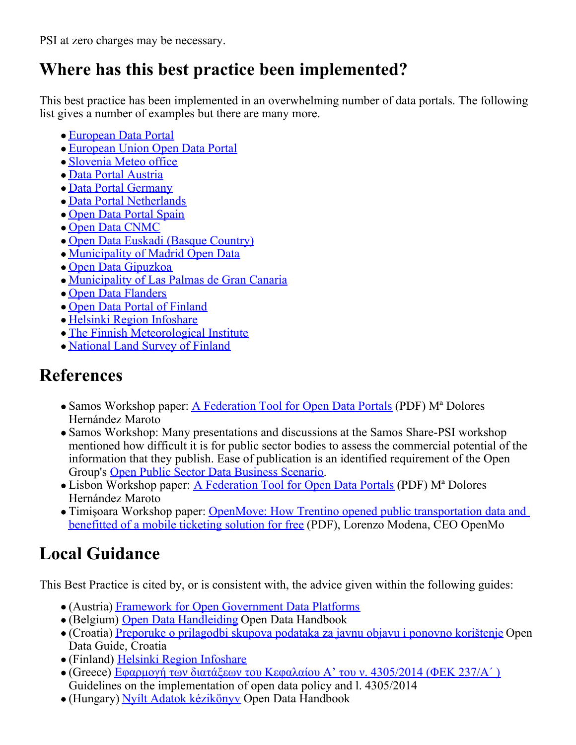PSI at zero charges may be necessary.

## **Where has this best practice been implemented?**

This best practice has been implemented in an overwhelming number of data portals. The following list gives a number of examples but there are many more.

- [European Data Portal](http://www.europeandataportal.eu/)
- [European Union Open Data Portal](https://data.europa.eu/euodp/en/data)
- [Slovenia Meteo office](http://meteo.arso.gov.si/met/sl/service/)
- [Data Portal Austria](https://www.data.gv.at/)
- [Data Portal Germany](https://www.govdata.de/)
- [Data Portal Netherlands](https://data.overheid.nl/)
- [Open Data Portal Spain](http://datos.gob.es/)
- [Open Data CNMC](http://opendata.cnmc.es/)
- [Open Data Euskadi \(Basque Country\)](http://opendata.euskadi.eus/)
- [Municipality of Madrid Open Data](http://datos.madrid.es/)
- [Open Data Gipuzkoa](http://www.gipuzkoairekia.eus/)
- [Municipality of Las Palmas de Gran Canaria](http://datosabiertos.laspalmasgc.es/)
- [Open Data Flanders](http://opendata.flanders.be/)
- [Open Data Portal of Finland](http://opendata.fi)
- [Helsinki Region Infoshare](http://www.hri.fi/en/open-data/)
- [The Finnish Meteorological Institute](http://en.ilmatieteenlaitos.fi/open-data)
- [National Land Survey of Finland](http://www.maanmittauslaitos.fi/en/professionals/digital-products/datasets-free-charge)

# **References**

- Samos Workshop paper: [A Federation Tool for Open Data Portals](https://www.w3.org/2013/share-psi/wiki/images/c/cc/Share-PSI_FederationTool_v03_en_paper_SCG.pdf) (PDF) M<sup>a</sup> Dolores Hernández Maroto
- Samos Workshop: Many presentations and discussions at the Samos Share-PSI workshop mentioned how difficult it is for public sector bodies to assess the commercial potential of the information that they publish. Ease of publication is an identified requirement of the Open Group's [Open Public Sector Data Business Scenario](http://www.opengroup.org/openplatform3.0/opsd-bs/p2.htm).
- Lisbon Workshop paper: [A Federation Tool for Open Data Portals](https://www.w3.org/2013/share-psi/wiki/images/0/0f/Spanishinfomediary.pdf) (PDF) M<sup>a</sup> Dolores Hernández Maroto
- Timișoara Workshop paper: [OpenMove: How Trentino opened public transportation data and](https://www.w3.org/2013/share-psi/workshop/krems/papers/OpenMove) [benefitted of a mobile ticketing solution for free](https://www.w3.org/2013/share-psi/workshop/krems/papers/OpenMove) (PDF), Lorenzo Modena, CEO OpenMo

# **Local Guidance**

This Best Practice is cited by, or is consistent with, the advice given within the following guides:

- (Austria) [Framework for Open Government Data Platforms](https://www.w3.org/2013/share-psi/lg/Austria#atGuide)
- (Belgium) [Open Data Handleiding](https://www.w3.org/2013/share-psi/lg/Belgium#vlGuide) Open Data Handbook
- (Croatia) [Preporuke o prilagodbi skupova podataka za javnu objavu i ponovno korištenje](https://www.w3.org/2013/share-psi/lg/Croatia#hrGuide) Open Data Guide, Croatia
- (Finland) [Helsinki Region Infoshare](https://www.w3.org/2013/share-psi/lg/Finland#hriGuide)
- (Greece) [Εφαρμογή των διατάξεων του Κεφαλαίου Α' του ν. 4305/2014 \(ΦΕΚ 237/Α΄ \)](https://www.w3.org/2013/share-psi/lg/Greece#grGuide) Guidelines on the implementation of open data policy and l. 4305/2014
- (Hungary) [Nyílt Adatok kézikönyv](https://www.w3.org/2013/share-psi/lg/Hungary#huGuide) Open Data Handbook